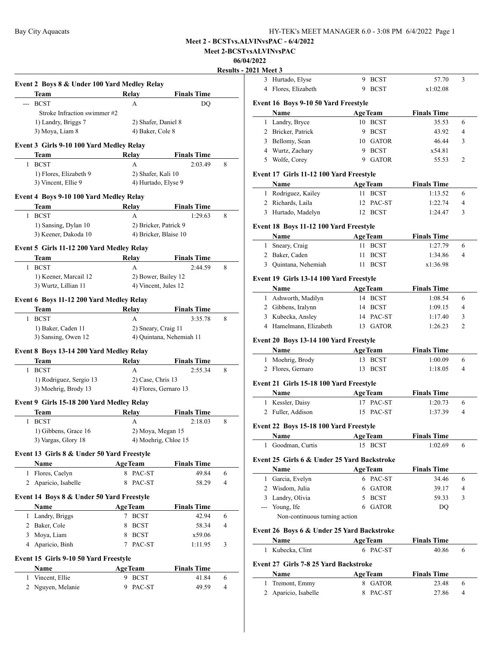**Meet 2-BCSTvsALVINvsPAC**

# **06/04/2022**

**Results - 2021** 

|              |                                               |                                           |                          | <u>Kesults</u> |
|--------------|-----------------------------------------------|-------------------------------------------|--------------------------|----------------|
|              | Event 2 Boys 8 & Under 100 Yard Medley Relay  |                                           |                          |                |
|              | Team                                          | Relay                                     | <b>Finals Time</b>       |                |
|              | <b>BCST</b>                                   | A                                         | DQ                       |                |
|              | Stroke Infraction swimmer #2                  |                                           |                          |                |
|              | 1) Landry, Briggs 7                           | 2) Shafer, Daniel 8                       |                          |                |
|              | 3) Moya, Liam 8                               | 4) Baker, Cole 8                          |                          |                |
|              | Event 3 Girls 9-10 100 Yard Medley Relay      |                                           |                          |                |
|              | Team                                          | Relay                                     | <b>Finals Time</b>       |                |
| 1            | <b>BCST</b>                                   | A                                         | 2:03.49                  | 8              |
|              |                                               |                                           |                          |                |
|              | 1) Flores, Elizabeth 9<br>3) Vincent, Ellie 9 | 2) Shafer, Kali 10<br>4) Hurtado, Elyse 9 |                          |                |
|              |                                               |                                           |                          |                |
|              | Event 4 Boys 9-10 100 Yard Medley Relay       |                                           |                          |                |
|              | Team                                          | <b>Relay</b>                              | <b>Finals Time</b>       |                |
|              | 1 BCST                                        | A                                         | 1:29.63                  | 8              |
|              | 1) Sansing, Dylan 10                          | 2) Bricker, Patrick 9                     |                          |                |
|              | 3) Keener, Dakoda 10                          | 4) Bricker, Blaise 10                     |                          |                |
|              |                                               |                                           |                          |                |
|              | Event 5 Girls 11-12 200 Yard Medley Relay     |                                           |                          |                |
|              | Team                                          | Relay                                     | <b>Finals Time</b>       |                |
|              | 1 BCST                                        | А                                         | 2:44.59                  | 8              |
|              | 1) Keener, Marcail 12                         | 2) Bower, Bailey 12                       |                          |                |
|              | 3) Wurtz, Lillian 11                          | 4) Vincent, Jules 12                      |                          |                |
|              | Event 6 Boys 11-12 200 Yard Medley Relay      |                                           |                          |                |
|              | Team                                          | Relay                                     | <b>Finals Time</b>       |                |
| 1            | <b>BCST</b>                                   | А                                         | 3:35.78                  | 8              |
|              | 1) Baker, Caden 11                            | 2) Sneary, Craig 11                       |                          |                |
|              | 3) Sansing, Owen 12                           |                                           | 4) Quintana, Nehemiah 11 |                |
|              |                                               |                                           |                          |                |
|              | Event 8 Boys 13-14 200 Yard Medley Relay      |                                           |                          |                |
|              | Team                                          | Relay                                     | <b>Finals Time</b>       |                |
| 1            | <b>BCST</b>                                   | A                                         | 2:55.34                  | 8              |
|              | 1) Rodriguez, Sergio 13                       | 2) Case, Chris 13                         |                          |                |
|              | 3) Moehrig, Brody 13                          | 4) Flores, Gernaro 13                     |                          |                |
|              | Event 9 Girls 15-18 200 Yard Medley Relay     |                                           |                          |                |
|              | Team                                          | Relay                                     | <b>Finals Time</b>       |                |
|              | 1 BCST                                        | A                                         | 2:18.03                  | 8              |
|              | 1) Gibbens, Grace 16                          | 2) Moya, Megan 15                         |                          |                |
|              | 3) Vargas, Glory 18                           | 4) Moehrig, Chloe 15                      |                          |                |
|              |                                               |                                           |                          |                |
|              | Event 13 Girls 8 & Under 50 Yard Freestyle    |                                           |                          |                |
|              | <b>Name</b>                                   | <b>AgeTeam</b>                            | <b>Finals Time</b>       |                |
|              | 1 Flores, Caelyn                              | 8 PAC-ST                                  | 49.84                    | 6              |
|              | 2 Aparicio, Isabelle                          | PAC-ST<br>8                               | 58.29                    | 4              |
|              | Event 14 Boys 8 & Under 50 Yard Freestyle     |                                           |                          |                |
|              | Name                                          | <b>AgeTeam</b>                            | <b>Finals Time</b>       |                |
|              |                                               | 7 BCST                                    | 42.94                    | 6              |
|              | 1 Landry, Briggs                              |                                           |                          |                |
|              | 2 Baker, Cole                                 | <b>BCST</b><br>8                          | 58.34                    | 4              |
|              | 3 Moya, Liam                                  | 8 BCST                                    | x59.06                   |                |
|              | 4 Aparicio, Binh                              | 7 PAC-ST                                  | 1:11.95                  | 3              |
|              | Event 15 Girls 9-10 50 Yard Freestyle         |                                           |                          |                |
|              | Name                                          | <b>AgeTeam</b>                            | <b>Finals Time</b>       |                |
|              | 1 Vincent, Ellie                              | 9 BCST                                    | 41.84                    | 6              |
|              |                                               |                                           |                          |                |
| $\mathbf{2}$ | Nguyen, Melanie                               | PAC-ST<br>9.                              | 49.59                    | 4              |

| 021 Meet 3     |                                                 |                           |                    |                |
|----------------|-------------------------------------------------|---------------------------|--------------------|----------------|
| 3              | Hurtado, Elyse                                  | 9 BCST                    | 57.70              | 3              |
| 4              | Flores, Elizabeth                               | 9 BCST                    | x1:02.08           |                |
|                |                                                 |                           |                    |                |
|                | Event 16 Boys 9-10 50 Yard Freestyle<br>Name    |                           | <b>Finals Time</b> |                |
|                |                                                 | <b>AgeTeam</b><br>10 BCST | 35.53              | 6              |
|                | 1 Landry, Bryce<br>2 Bricker, Patrick           | 9 BCST                    | 43.92              | 4              |
|                |                                                 |                           |                    |                |
|                | 3 Bellomy, Sean                                 | 10 GATOR                  | 46.44              | 3              |
|                | 4 Wurtz, Zachary<br>Wolfe, Corey                | 9 BCST                    | x54.81             |                |
| 5              |                                                 | 9 GATOR                   | 55.53              | $\overline{c}$ |
|                | Event 17 Girls 11-12 100 Yard Freestyle         |                           |                    |                |
|                | Name                                            | <b>AgeTeam</b>            | <b>Finals Time</b> |                |
|                | 1 Rodriguez, Kailey                             | 11 BCST                   | 1:13.52            | 6              |
|                | 2 Richards, Laila                               | 12 PAC-ST                 | 1:22.74            | 4              |
|                | 3 Hurtado, Madelyn                              | 12 BCST                   | 1:24.47            | 3              |
|                |                                                 |                           |                    |                |
|                | Event 18 Boys 11-12 100 Yard Freestyle          |                           |                    |                |
|                | <b>Name</b>                                     | <b>AgeTeam</b>            | <b>Finals Time</b> |                |
|                | 1 Sneary, Craig                                 | 11 BCST                   | 1:27.79            | 6              |
|                | 2 Baker, Caden                                  | <b>BCST</b><br>11         | 1:34.86            | 4              |
|                | 3 Quintana, Nehemiah                            | 11 BCST                   | x1:36.98           |                |
|                | Event 19 Girls 13-14 100 Yard Freestyle         |                           |                    |                |
|                | Name                                            | <b>AgeTeam</b>            | <b>Finals Time</b> |                |
|                | 1 Ashworth, Madilyn                             | 14 BCST                   | 1:08.54            | 6              |
|                | 2 Gibbens, Iralynn                              | 14 BCST                   | 1:09.15            | 4              |
|                | 3 Kubecka, Ansley                               | 14 PAC-ST                 | 1:17.40            | 3              |
|                | 4 Hamelmann, Elizabeth                          | 13 GATOR                  | 1:26.23            | 2              |
|                |                                                 |                           |                    |                |
|                | Event 20 Boys 13-14 100 Yard Freestyle          |                           |                    |                |
|                | Name                                            | <b>AgeTeam</b>            | <b>Finals Time</b> |                |
|                | 1 Moehrig, Brody                                | 13 BCST                   | 1:00.09            | 6              |
|                | 2 Flores, Gernaro                               | 13 BCST                   | 1:18.05            | 4              |
|                | Event 21 Girls 15-18 100 Yard Freestyle         |                           |                    |                |
|                | Name                                            | <b>AgeTeam</b>            | <b>Finals Time</b> |                |
|                | 1 Kessler, Daisy                                | 17 PAC-ST                 | 1:20.73            | 6              |
|                | 2 Fuller, Addison                               | 15 PAC-ST                 | 1:37.39            | 4              |
|                |                                                 |                           |                    |                |
|                | Event 22 Boys 15-18 100 Yard Freestyle          |                           |                    |                |
|                | Name                                            | <b>AgeTeam</b>            | <b>Finals Time</b> |                |
|                | 1 Goodman, Curtis                               | <b>BCST</b><br>15         | 1:02.69            | 6              |
|                | Event 25 Girls 6 & Under 25 Yard Backstroke     |                           |                    |                |
|                | Name                                            | <b>AgeTeam</b>            | <b>Finals Time</b> |                |
|                | 1 Garcia, Evelyn                                | 6 PAC-ST                  | 34.46              | 6              |
|                | 2 Wisdom, Julia                                 | 6 GATOR                   | 39.17              | 4              |
|                | 3 Landry, Olivia                                | 5 BCST                    | 59.33              | 3              |
|                |                                                 | <b>GATOR</b><br>6         |                    |                |
|                | --- Young, Ife<br>Non-continuous turning action |                           | DQ                 |                |
|                |                                                 |                           |                    |                |
|                | Event 26 Boys 6 & Under 25 Yard Backstroke      |                           |                    |                |
|                | Name                                            | <b>AgeTeam</b>            | <b>Finals Time</b> |                |
| 1              | Kubecka, Clint                                  | 6 PAC-ST                  | 40.86              | 6              |
|                |                                                 |                           |                    |                |
|                | Event 27 Girls 7-8 25 Yard Backstroke           |                           |                    |                |
|                | Name                                            | <b>AgeTeam</b>            | <b>Finals Time</b> |                |
| 1              | Tremont, Emmy                                   | <b>GATOR</b><br>8         | 23.48              | 6              |
| $\overline{2}$ | Aparicio, Isabelle                              | PAC-ST<br>8               | 27.86              | 4              |
|                |                                                 |                           |                    |                |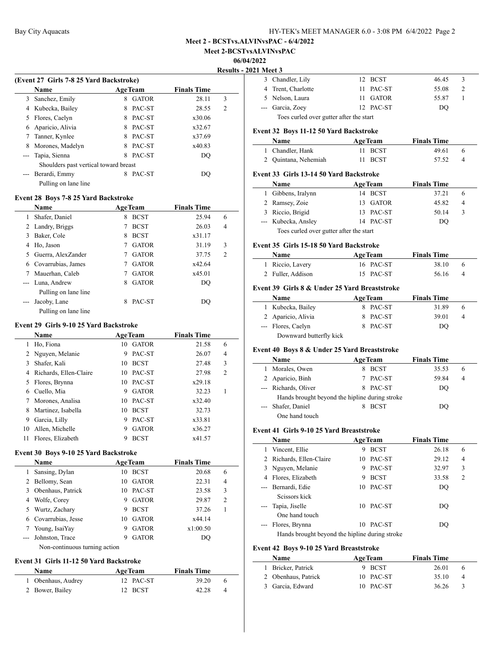**Meet 2-BCSTvsALVINvsPAC**

#### **06/04/2022**

**Results - 2021 Meet 3**

 $\frac{1}{2}$ 

| (Event 27 Girls 7-8 25 Yard Backstroke) |                                       |   |                |                    |                |  |
|-----------------------------------------|---------------------------------------|---|----------------|--------------------|----------------|--|
|                                         | <b>Name</b>                           |   | <b>AgeTeam</b> | <b>Finals Time</b> |                |  |
| 3                                       | Sanchez, Emily                        | 8 | <b>GATOR</b>   | 28.11              | 3              |  |
| 4                                       | Kubecka, Bailey                       | 8 | PAC-ST         | 28.55              | $\overline{c}$ |  |
| 5.                                      | Flores, Caelyn                        | 8 | PAC-ST         | x30.06             |                |  |
| 6                                       | Aparicio, Alivia                      | 8 | PAC-ST         | x32.67             |                |  |
|                                         | Tanner, Kynlee                        | 8 | PAC-ST         | x37.69             |                |  |
| 8                                       | Morones, Madelyn                      |   | PAC-ST         | x40.83             |                |  |
|                                         | Tapia, Sienna                         | 8 | PAC-ST         | DO                 |                |  |
|                                         | Shoulders past vertical toward breast |   |                |                    |                |  |
|                                         | Berardi, Emmy                         | 8 | PAC-ST         | DO)                |                |  |
|                                         | Pulling on lane line                  |   |                |                    |                |  |

## **Event 28 Boys 7-8 25 Yard Backstroke**

|   | Name                 |   | <b>AgeTeam</b> | <b>Finals Time</b> |   |
|---|----------------------|---|----------------|--------------------|---|
| 1 | Shafer, Daniel       | 8 | <b>BCST</b>    | 25.94              | 6 |
|   | 2 Landry, Briggs     |   | <b>BCST</b>    | 26.03              | 4 |
| 3 | Baker, Cole          | 8 | <b>BCST</b>    | x31.17             |   |
| 4 | Ho, Jason            |   | <b>GATOR</b>   | 31.19              | 3 |
| 5 | Guerra, AlexZander   |   | <b>GATOR</b>   | 37.75              | 2 |
| 6 | Covarrubias, James   |   | <b>GATOR</b>   | x42.64             |   |
|   | Mauerhan, Caleb      |   | <b>GATOR</b>   | x45.01             |   |
|   | --- Luna, Andrew     | 8 | <b>GATOR</b>   | DO                 |   |
|   | Pulling on lane line |   |                |                    |   |
|   | Jacoby, Lane         | 8 | PAC-ST         | DO                 |   |
|   | Pulling on lane line |   |                |                    |   |

#### **Event 29 Girls 9-10 25 Yard Backstroke**

|    | <b>Name</b>            | <b>AgeTeam</b> |              | <b>Finals Time</b> |                |
|----|------------------------|----------------|--------------|--------------------|----------------|
|    | Ho, Fiona              |                | 10 GATOR     | 21.58              | 6              |
|    | Nguyen, Melanie        | 9              | PAC-ST       | 26.07              | $\overline{4}$ |
|    | Shafer, Kali           | 10             | <b>BCST</b>  | 27.48              | 3              |
| 4  | Richards, Ellen-Claire |                | 10 PAC-ST    | 27.98              | $\overline{c}$ |
| 5. | Flores, Brynna         | 10             | PAC-ST       | x29.18             |                |
| 6  | Cuello, Mia            | 9              | <b>GATOR</b> | 32.23              |                |
|    | Morones, Analisa       | 10             | PAC-ST       | x32.40             |                |
| 8  | Martinez, Isabella     | 10             | <b>BCST</b>  | 32.73              |                |
| 9  | Garcia, Lilly          | 9              | PAC-ST       | x33.81             |                |
| 10 | Allen, Michelle        | 9              | <b>GATOR</b> | x36.27             |                |
| 11 | Flores, Elizabeth      | 9              | <b>BCST</b>  | x41.57             |                |

#### **Event 30 Boys 9-10 25 Yard Backstroke**

|   | <b>Name</b>                   | <b>AgeTeam</b> |              | <b>Finals Time</b> |                |
|---|-------------------------------|----------------|--------------|--------------------|----------------|
|   | Sansing, Dylan                | 10             | <b>BCST</b>  | 20.68              | 6              |
|   | 2 Bellomy, Sean               | 10.            | <b>GATOR</b> | 22.31              | $\overline{4}$ |
| 3 | Obenhaus, Patrick             |                | 10 PAC-ST    | 23.58              | 3              |
| 4 | Wolfe, Corey                  | 9              | <b>GATOR</b> | 29.87              | $\overline{c}$ |
|   | 5 Wurtz, Zachary              | 9              | <b>BCST</b>  | 37.26              |                |
|   | 6 Covarrubias, Jesse          | 10             | <b>GATOR</b> | x44.14             |                |
|   | 7 Young, IsaiYay              | 9              | <b>GATOR</b> | x1:00.50           |                |
|   | --- Johnston, Trace           | 9              | <b>GATOR</b> | DO                 |                |
|   | Non-continuous turning action |                |              |                    |                |

## **Event 31 Girls 11-12 50 Yard Backstroke**

 $\overline{a}$ 

| <b>Name</b>        | <b>AgeTeam</b> | <b>Finals Time</b> |                  |
|--------------------|----------------|--------------------|------------------|
| 1 Obenhaus, Audrey | 12 PAC-ST      | 39.20              | 6                |
| 2 Bower, Bailey    | 12 BCST        | 42.28              | $\boldsymbol{A}$ |

|                                         | 1 меет э           |  |           |       |   |  |
|-----------------------------------------|--------------------|--|-----------|-------|---|--|
|                                         | 3 Chandler, Lily   |  | 12 BCST   | 46.45 | 3 |  |
|                                         | 4 Trent, Charlotte |  | 11 PAC-ST | 55.08 | 2 |  |
|                                         | 5 Nelson, Laura    |  | 11 GATOR  | 55.87 |   |  |
|                                         | --- Garcia, Zoev   |  | 12 PAC-ST | DO    |   |  |
| Toes curled over gutter after the start |                    |  |           |       |   |  |

## **Event 32 Boys 11-12 50 Yard Backstroke**

| <b>Name</b>          | <b>AgeTeam</b> | <b>Finals Time</b> |
|----------------------|----------------|--------------------|
| 1 Chandler, Hank     | 11 BCST        | 49.61              |
| 2 Quintana, Nehemiah | 11 BCST        | 57.52              |

#### **Event 33 Girls 13-14 50 Yard Backstroke**

| <b>Name</b>                             |  | <b>AgeTeam</b> | <b>Finals Time</b> |                |  |
|-----------------------------------------|--|----------------|--------------------|----------------|--|
| 1 Gibbens, Iralynn                      |  | 14 BCST        | 37.21              | $\mathfrak{h}$ |  |
| 2 Ramsey, Zoie                          |  | 13 GATOR       | 45.82              | 4              |  |
| 3 Riccio, Brigid                        |  | 13 PAC-ST      | 50.14              | 3              |  |
| --- Kubecka, Ansley                     |  | 14 PAC-ST      | DO                 |                |  |
| Toes curled over gutter after the start |  |                |                    |                |  |

#### **Event 35 Girls 15-18 50 Yard Backstroke**

| Name              | <b>AgeTeam</b> | <b>Finals Time</b> |  |
|-------------------|----------------|--------------------|--|
| 1 Riccio, Lavery  | 16 PAC-ST      | 38.10<br>-6        |  |
| 2 Fuller, Addison | 15 PAC-ST      | 56.16<br>4         |  |

# **Event 39 Girls 8 & Under 25 Yard Breaststroke**

| Name |                         | <b>AgeTeam</b> | <b>Finals Time</b> |                |
|------|-------------------------|----------------|--------------------|----------------|
|      | 1 Kubecka, Bailey       | 8 PAC-ST       | 31.89              | $\mathfrak{h}$ |
|      | 2 Aparicio, Alivia      | 8 PAC-ST       | 39.01              |                |
|      | --- Flores, Caelyn      | 8 PAC-ST       | DO                 |                |
|      | Downward butterfly kick |                |                    |                |

## **Event 40 Boys 8 & Under 25 Yard Breaststroke**

|    | <b>Name</b>                                    | <b>AgeTeam</b> |             | <b>Finals Time</b> |   |  |
|----|------------------------------------------------|----------------|-------------|--------------------|---|--|
| I. | Morales, Owen                                  |                | <b>BCST</b> | 35.53              | 6 |  |
|    | 2 Aparicio, Binh                               |                | PAC-ST      | 59.84              | 4 |  |
|    | --- Richards, Oliver                           | 8              | PAC-ST      | DO                 |   |  |
|    | Hands brought beyond the hipline during stroke |                |             |                    |   |  |
|    | --- Shafer, Daniel                             |                | <b>BCST</b> | DO                 |   |  |
|    | One hand touch                                 |                |             |                    |   |  |

# **Event 41 Girls 9-10 25 Yard Breaststroke**

| Name                                           | <b>AgeTeam</b> |             | <b>Finals Time</b> |                |  |  |  |  |
|------------------------------------------------|----------------|-------------|--------------------|----------------|--|--|--|--|
| Vincent, Ellie                                 | 9              | <b>BCST</b> | 26.18              | 6              |  |  |  |  |
| 2 Richards, Ellen-Claire                       |                | 10 PAC-ST   | 29.12              | 4              |  |  |  |  |
| 3 Nguyen, Melanie                              | 9              | PAC-ST      | 32.97              | 3              |  |  |  |  |
| 4 Flores, Elizabeth                            | 9              | <b>BCST</b> | 33.58              | $\overline{2}$ |  |  |  |  |
| --- Bernardi, Edie                             | 10             | PAC-ST      | DQ                 |                |  |  |  |  |
| Seissors kick                                  |                |             |                    |                |  |  |  |  |
| --- Tapia, Jiselle                             | 10             | PAC-ST      | DO                 |                |  |  |  |  |
| One hand touch                                 |                |             |                    |                |  |  |  |  |
| Flores, Brynna                                 | 10             | PAC-ST      | DO                 |                |  |  |  |  |
| Hands brought beyond the hipline during stroke |                |             |                    |                |  |  |  |  |

# **Event 42 Boys 9-10 25 Yard Breaststroke**

| <b>Name</b>         | <b>AgeTeam</b> |           |       |                  |
|---------------------|----------------|-----------|-------|------------------|
| 1 Bricker, Patrick  |                | 9 BCST    | 26.01 | $\mathfrak{h}$   |
| 2 Obenhaus, Patrick |                | 10 PAC-ST | 35.10 | $\boldsymbol{A}$ |
| 3 Garcia, Edward    |                | 10 PAC-ST | 36.26 | -3               |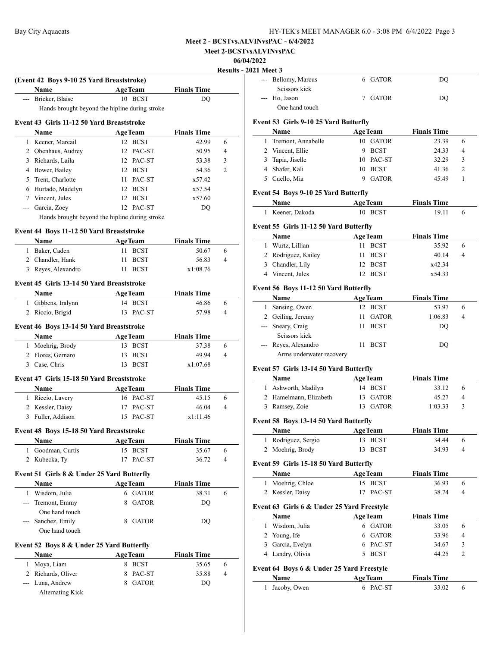**Meet 2-BCSTvsALVINvsPAC**

# **06/04/2022**

 $\frac{021}{2}$ 

|              | (Event 42 Boys 9-10 25 Yard Breaststroke)  |                                                |                             |                     |
|--------------|--------------------------------------------|------------------------------------------------|-----------------------------|---------------------|
|              | Name                                       | <b>AgeTeam</b>                                 | <b>Finals Time</b>          |                     |
|              | --- Bricker, Blaise                        | 10 BCST                                        | <b>DQ</b>                   |                     |
|              |                                            | Hands brought beyond the hipline during stroke |                             |                     |
|              | Event 43 Girls 11-12 50 Yard Breaststroke  |                                                |                             |                     |
|              | Name                                       | <b>AgeTeam</b>                                 | <b>Finals Time</b>          |                     |
|              | 1 Keener, Marcail                          | 12 BCST                                        | 42.99                       | 6                   |
|              | 2 Obenhaus, Audrey                         | 12 PAC-ST                                      | 50.95                       | $\overline{4}$      |
|              | 3 Richards, Laila                          | 12 PAC-ST                                      | 53.38                       | 3                   |
|              | 4 Bower, Bailey                            | 12 BCST                                        | 54.36                       | $\overline{2}$      |
|              | 5 Trent, Charlotte                         | 11 PAC-ST                                      | x57.42                      |                     |
|              | 6 Hurtado, Madelyn                         | 12 BCST                                        | x57.54                      |                     |
|              | 7 Vincent, Jules                           | 12 BCST                                        | x57.60                      |                     |
|              | --- Garcia, Zoey                           | 12 PAC-ST                                      | DQ                          |                     |
|              |                                            |                                                |                             |                     |
|              |                                            | Hands brought beyond the hipline during stroke |                             |                     |
|              | Event 44 Boys 11-12 50 Yard Breaststroke   |                                                |                             |                     |
|              | Name                                       | <b>AgeTeam</b>                                 | <b>Finals Time</b>          |                     |
|              | 1 Baker, Caden                             | 11 BCST                                        | 50.67                       | 6                   |
|              | 2 Chandler, Hank                           | <b>BCST</b><br>11                              | 56.83                       | $\overline{4}$      |
|              | 3 Reyes, Alexandro                         | 11 BCST                                        | x1:08.76                    |                     |
|              | Event 45 Girls 13-14 50 Yard Breaststroke  |                                                |                             |                     |
|              | Name                                       | <b>AgeTeam</b>                                 | <b>Finals Time</b>          |                     |
|              | 1 Gibbens, Iralynn                         | 14 BCST                                        | 46.86                       | 6                   |
|              |                                            |                                                |                             | $\overline{4}$      |
|              | 2 Riccio, Brigid                           | 13 PAC-ST                                      | 57.98                       |                     |
|              | Event 46 Boys 13-14 50 Yard Breaststroke   |                                                |                             |                     |
|              | Name                                       | <b>AgeTeam</b>                                 | <b>Finals Time</b>          |                     |
|              | 1 Moehrig, Brody                           | 13 BCST                                        | 37.38                       | 6                   |
|              | 2 Flores, Gernaro                          | 13 BCST                                        | 49.94                       | $\overline{4}$      |
|              | 3 Case, Chris                              | 13 BCST                                        | x1:07.68                    |                     |
|              | Event 47 Girls 15-18 50 Yard Breaststroke  |                                                |                             |                     |
|              |                                            | <b>AgeTeam</b>                                 | <b>Finals Time</b>          |                     |
|              | Name                                       |                                                | 45.15                       |                     |
|              | 1 Riccio, Lavery<br>2 Kessler, Daisy       | 16 PAC-ST                                      | 46.04                       | 6<br>$\overline{4}$ |
|              | 3 Fuller, Addison                          | 17 PAC-ST                                      |                             |                     |
|              |                                            | 15 PAC-ST                                      | x1:11.46                    |                     |
|              | Event 48 Boys 15-18 50 Yard Breaststroke   |                                                |                             |                     |
|              | Name                                       | <b>AgeTeam</b>                                 | <b>Finals Time</b>          |                     |
|              | 1 Goodman, Curtis                          | 15 BCST                                        | 35.67                       | 6                   |
|              | 2 Kubecka, Ty                              | PAC-ST<br>17                                   | 36.72                       | 4                   |
|              | Event 51 Girls 8 & Under 25 Yard Butterfly |                                                |                             |                     |
|              | <b>Name</b>                                |                                                |                             |                     |
| 1            | Wisdom, Julia                              | <b>AgeTeam</b><br>6 GATOR                      | <b>Finals Time</b><br>38.31 | 6                   |
|              | --- Tremont, Emmy                          | <b>GATOR</b><br>8                              |                             |                     |
|              |                                            |                                                | DQ                          |                     |
|              | One hand touch                             |                                                |                             |                     |
|              | Sanchez, Emily                             | <b>GATOR</b><br>8                              | DQ                          |                     |
|              | One hand touch                             |                                                |                             |                     |
|              | Event 52 Boys 8 & Under 25 Yard Butterfly  |                                                |                             |                     |
|              | Name                                       | <b>AgeTeam</b>                                 | <b>Finals Time</b>          |                     |
|              | Moya, Liam                                 | 8 BCST                                         | 35.65                       | 6                   |
| $\mathbf{1}$ |                                            |                                                |                             |                     |
|              | 2 Richards, Oliver                         | 8<br>PAC-ST                                    | 35.88                       | $\overline{4}$      |
|              | --- Luna, Andrew                           | 8 GATOR                                        | DQ                          |                     |

|              | 021 Meet 3                                   |                                     |                    |   |
|--------------|----------------------------------------------|-------------------------------------|--------------------|---|
| ---          | Bellomy, Marcus<br>Scissors kick             | 6 GATOR                             | DQ                 |   |
| $---$        | Ho, Jason                                    | 7 GATOR                             | DQ                 |   |
|              | One hand touch                               |                                     |                    |   |
|              | Event 53 Girls 9-10 25 Yard Butterfly        |                                     |                    |   |
|              | Name                                         | <b>AgeTeam</b>                      | <b>Finals Time</b> |   |
| 1            | Tremont, Annabelle                           | 10 GATOR                            | 23.39              | 6 |
|              | 2 Vincent, Ellie                             | 9 BCST                              | 24.33              | 4 |
| 3            | Tapia, Jiselle                               | 10 PAC-ST                           | 32.29              | 3 |
|              | 4 Shafer, Kali                               | 10 BCST                             | 41.36              | 2 |
|              | 5 Cuello, Mia                                | 9 GATOR                             | 45.49              | 1 |
|              | Event 54 Boys 9-10 25 Yard Butterfly         |                                     |                    |   |
|              | Name                                         | <b>AgeTeam</b>                      | <b>Finals Time</b> |   |
| $\mathbf{1}$ | Keener, Dakoda                               | 10 BCST                             | 19.11              | 6 |
|              | Event 55 Girls 11-12 50 Yard Butterfly       |                                     |                    |   |
|              | Name                                         | <b>AgeTeam</b>                      | <b>Finals Time</b> |   |
|              | 1 Wurtz, Lillian                             | 11<br><b>BCST</b>                   | 35.92              | 6 |
|              | 2 Rodriguez, Kailey                          | 11<br><b>BCST</b>                   | 40.14              | 4 |
|              | 3 Chandler, Lily                             | 12 BCST                             | x42.34             |   |
|              | 4 Vincent, Jules                             | 12 BCST                             | x54.33             |   |
|              | Event 56 Boys 11-12 50 Yard Butterfly        |                                     |                    |   |
|              | Name                                         | <b>AgeTeam</b>                      | <b>Finals Time</b> |   |
|              | 1 Sansing, Owen                              | 12 BCST                             | 53.97              | 6 |
|              | 2 Geiling, Jeremy                            | 11.<br><b>GATOR</b>                 | 1:06.83            | 4 |
|              | --- Sneary, Craig<br>Scissors kick           | 11<br><b>BCST</b>                   | DQ                 |   |
| $---$        | Reyes, Alexandro<br>Arms underwater recovery | 11 BCST                             | DQ                 |   |
|              | Event 57 Girls 13-14 50 Yard Butterfly       |                                     |                    |   |
|              | Name                                         | <b>AgeTeam</b>                      | <b>Finals Time</b> |   |
|              | 1 Ashworth, Madilyn                          | 14 BCST                             | 33.12              | 6 |
|              | 2 Hamelmann, Elizabeth                       | 13 GATOR                            | 45.27              | 4 |
| 3            | Ramsey, Zoie                                 | <b>GATOR</b><br>13                  | 1:03.33            | 3 |
|              | Event 58 Boys 13-14 50 Yard Butterfly        |                                     |                    |   |
|              | <b>Name</b>                                  | AgeTeam                             | <b>Finals Time</b> |   |
| $\mathbf{1}$ | Rodriguez, Sergio                            | 13 BCST                             | 34.44              | 6 |
| 2            | Moehrig, Brody                               | 13<br><b>BCST</b>                   | 34.93              | 4 |
|              |                                              |                                     |                    |   |
|              | Event 59 Girls 15-18 50 Yard Butterfly       |                                     |                    |   |
|              | Name                                         | <b>AgeTeam</b><br><b>BCST</b><br>15 | <b>Finals Time</b> | 6 |
| $\mathbf{1}$ | Moehrig, Chloe<br>2 Kessler, Daisy           | 17<br>PAC-ST                        | 36.93<br>38.74     | 4 |
|              |                                              |                                     |                    |   |
|              |                                              |                                     |                    |   |
|              | Event 63 Girls 6 & Under 25 Yard Freestyle   |                                     |                    |   |
|              | Name                                         | <b>AgeTeam</b>                      | <b>Finals Time</b> |   |
| 1            | Wisdom, Julia                                | 6 GATOR                             | 33.05              | 6 |
|              | 2 Young, Ife                                 | <b>GATOR</b><br>6                   | 33.96              | 4 |
|              | 3 Garcia, Evelyn                             | PAC-ST<br>6                         | 34.67              | 3 |
|              | 4 Landry, Olivia                             | <b>BCST</b><br>5                    | 44.25              | 2 |
|              | Event 64 Boys 6 & Under 25 Yard Freestyle    |                                     |                    |   |
|              | Name                                         | <b>AgeTeam</b>                      | <b>Finals Time</b> |   |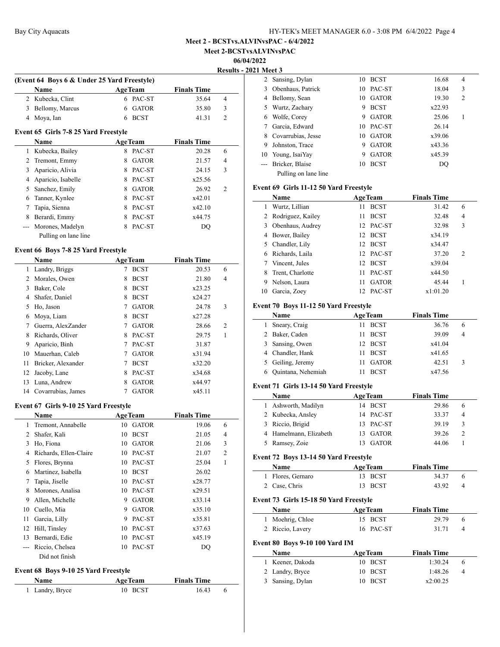| HY-TEK's MEET MANAGER 6.0 - 3:08 PM 6/4/2022 Page 4 |  |  |  |  |
|-----------------------------------------------------|--|--|--|--|
|                                                     |  |  |  |  |

**Meet 2-BCSTvsALVINvsPAC**

#### **06/04/2022**

**2021 Meet 3** 

|                                          |   |                                      |                                                                                           | <b>Results - 2</b> |
|------------------------------------------|---|--------------------------------------|-------------------------------------------------------------------------------------------|--------------------|
|                                          |   |                                      |                                                                                           |                    |
| <b>Name</b>                              |   |                                      | <b>Finals Time</b>                                                                        |                    |
| Kubecka, Clint                           | 6 |                                      | 35.64                                                                                     | 4                  |
| Bellomy, Marcus                          | 6 | <b>GATOR</b>                         | 35.80                                                                                     | 3                  |
| Moya, Ian                                | 6 | <b>BCST</b>                          | 41.31                                                                                     | $\overline{c}$     |
|                                          |   |                                      |                                                                                           |                    |
| <b>Name</b>                              |   |                                      | <b>Finals Time</b>                                                                        |                    |
| Kubecka, Bailey                          | 8 | PAC-ST                               | 20.28                                                                                     | 6                  |
| Tremont, Emmy                            | 8 | <b>GATOR</b>                         | 21.57                                                                                     | 4                  |
| Aparicio, Alivia                         | 8 | PAC-ST                               | 24.15                                                                                     | 3                  |
| Aparicio, Isabelle                       | 8 | PAC-ST                               | x25.56                                                                                    |                    |
| Sanchez, Emily                           | 8 | <b>GATOR</b>                         | 26.92                                                                                     | $\overline{2}$     |
| Tanner, Kynlee                           | 8 | PAC-ST                               | x42.01                                                                                    |                    |
| Tapia, Sienna                            | 8 | PAC-ST                               | x42.10                                                                                    |                    |
| Berardi, Emmy                            | 8 | PAC-ST                               | x44.75                                                                                    |                    |
| Morones, Madelyn<br>Pulling on lane line | 8 | PAC-ST                               | <b>DQ</b>                                                                                 |                    |
|                                          |   | Event 65 Girls 7-8 25 Yard Freestyle | (Event 64 Boys 6 & Under 25 Yard Freestyle)<br><b>AgeTeam</b><br>PAC-ST<br><b>AgeTeam</b> |                    |

# **Event 66 Boys 7-8 25 Yard Freestyle**

 $\overline{a}$ 

|    | <b>Name</b>        |   | <b>AgeTeam</b> | <b>Finals Time</b> |                |
|----|--------------------|---|----------------|--------------------|----------------|
| 1  | Landry, Briggs     |   | <b>BCST</b>    | 20.53              | 6              |
|    | Morales, Owen      | 8 | <b>BCST</b>    | 21.80              | 4              |
| 3  | Baker, Cole        | 8 | <b>BCST</b>    | x23.25             |                |
| 4  | Shafer, Daniel     | 8 | <b>BCST</b>    | x24.27             |                |
| 5  | Ho, Jason          | 7 | <b>GATOR</b>   | 24.78              | 3              |
| 6  | Moya, Liam         | 8 | <b>BCST</b>    | x27.28             |                |
| 7  | Guerra, AlexZander | 7 | <b>GATOR</b>   | 28.66              | $\overline{2}$ |
| 8  | Richards, Oliver   | 8 | PAC-ST         | 29.75              | 1              |
| 9  | Aparicio, Binh     | 7 | PAC-ST         | 31.87              |                |
| 10 | Mauerhan, Caleb    | 7 | <b>GATOR</b>   | x31.94             |                |
| 11 | Bricker, Alexander | 7 | <b>BCST</b>    | x32.20             |                |
| 12 | Jacoby, Lane       | 8 | PAC-ST         | x34.68             |                |
| 13 | Luna, Andrew       | 8 | <b>GATOR</b>   | x44.97             |                |
| 14 | Covarrubias, James |   | <b>GATOR</b>   | x45.11             |                |

#### **Event 67 Girls 9-10 25 Yard Freestyle**

|    | Name                   |    | <b>AgeTeam</b> | <b>Finals Time</b> |                |
|----|------------------------|----|----------------|--------------------|----------------|
| 1  | Tremont, Annabelle     | 10 | GATOR          | 19.06              | 6              |
| 2  | Shafer, Kali           | 10 | <b>BCST</b>    | 21.05              | 4              |
| 3  | Ho, Fiona              | 10 | <b>GATOR</b>   | 21.06              | 3              |
| 4  | Richards, Ellen-Claire | 10 | PAC-ST         | 21.07              | $\overline{2}$ |
| 5  | Flores, Brynna         | 10 | PAC-ST         | 25.04              | 1              |
| 6  | Martinez, Isabella     | 10 | <b>BCST</b>    | 26.02              |                |
| 7  | Tapia, Jiselle         | 10 | PAC-ST         | x28.77             |                |
| 8  | Morones, Analisa       | 10 | PAC-ST         | x29.51             |                |
| 9  | Allen, Michelle        | 9  | <b>GATOR</b>   | x33.14             |                |
| 10 | Cuello, Mia            | 9  | <b>GATOR</b>   | x35.10             |                |
| 11 | Garcia, Lilly          | 9  | PAC-ST         | x35.81             |                |
| 12 | Hill, Tinsley          | 10 | PAC-ST         | x37.63             |                |
| 13 | Bernardi, Edie         | 10 | PAC-ST         | x45.19             |                |
|    | Riccio, Chelsea        | 10 | PAC-ST         | DQ                 |                |
|    | Did not finish         |    |                |                    |                |

# **Event 68 Boys 9-10 25 Yard Freestyle**

| <b>Name</b>     | <b>AgeTeam</b> | <b>Finals Time</b> |  |
|-----------------|----------------|--------------------|--|
| 1 Landry, Bryce | 10 BCST        | 16.43              |  |

| 1 Meet 3 |                      |    |              |        |                |  |
|----------|----------------------|----|--------------|--------|----------------|--|
|          | 2 Sansing, Dylan     | 10 | <b>BCST</b>  | 16.68  | 4              |  |
| 3        | Obenhaus, Patrick    | 10 | PAC-ST       | 18.04  | 3              |  |
| 4        | Bellomy, Sean        | 10 | <b>GATOR</b> | 19.30  | $\overline{c}$ |  |
| 5.       | Wurtz, Zachary       | 9  | <b>BCST</b>  | x22.93 |                |  |
| 6        | Wolfe, Corey         | 9  | <b>GATOR</b> | 25.06  | 1              |  |
|          | Garcia, Edward       |    | 10 PAC-ST    | 26.14  |                |  |
| 8        | Covarrubias, Jesse   | 10 | <b>GATOR</b> | x39.06 |                |  |
| 9        | Johnston, Trace      | 9  | <b>GATOR</b> | x43.36 |                |  |
| 10       | Young, IsaiYay       | 9  | <b>GATOR</b> | x45.39 |                |  |
|          | Bricker, Blaise      | 10 | <b>BCST</b>  | DO     |                |  |
|          | Pulling on lane line |    |              |        |                |  |

#### **Event 69 Girls 11-12 50 Yard Freestyle**

|    | Name                |                 | <b>AgeTeam</b> | <b>Finals Time</b> |                |  |
|----|---------------------|-----------------|----------------|--------------------|----------------|--|
|    | Wurtz, Lillian      | 11              | <b>BCST</b>    | 31.42              | 6              |  |
|    | 2 Rodriguez, Kailey | 11              | <b>BCST</b>    | 32.48              | 4              |  |
|    | 3 Obenhaus, Audrey  | 12              | PAC-ST         | 32.98              | 3              |  |
| 4  | Bower, Bailey       | 12.             | <b>BCST</b>    | x34.19             |                |  |
|    | 5 Chandler, Lily    | 12 <sub>1</sub> | <b>BCST</b>    | x34.47             |                |  |
| 6  | Richards, Laila     |                 | 12 PAC-ST      | 37.20              | $\overline{c}$ |  |
|    | Vincent, Jules      | 12              | <b>BCST</b>    | x39.04             |                |  |
| 8  | Trent, Charlotte    | 11              | PAC-ST         | x44.50             |                |  |
| 9  | Nelson, Laura       | 11              | <b>GATOR</b>   | 45.44              |                |  |
| 10 | Garcia, Zoev        | 12              | PAC-ST         | x1:01.20           |                |  |

# **Event 70 Boys 11-12 50 Yard Freestyle**

| <b>Name</b>          | <b>AgeTeam</b> | <b>Finals Time</b> |   |
|----------------------|----------------|--------------------|---|
| 1 Sneary, Craig      | <b>BCST</b>    | 36.76              | 6 |
| 2 Baker, Caden       | <b>BCST</b>    | 39.09              | 4 |
| 3 Sansing, Owen      | 12 BCST        | x41.04             |   |
| 4 Chandler, Hank     | <b>BCST</b>    | x41.65             |   |
| 5 Geiling, Jeremy    | <b>GATOR</b>   | 42.51              | 3 |
| 6 Ouintana, Nehemiah | <b>BCST</b>    | x47.56             |   |

## **Event 71 Girls 13-14 50 Yard Freestyle**

|    | Name                                  | <b>AgeTeam</b>      | <b>Finals Time</b> |                |
|----|---------------------------------------|---------------------|--------------------|----------------|
| l. | Ashworth, Madilyn                     | 14 BCST             | 29.86              | 6              |
|    | 2 Kubecka, Ansley                     | 14 PAC-ST           | 33.37              | $\overline{4}$ |
| 3. | Riccio, Brigid                        | PAC-ST<br>13.       | 39.19              | 3              |
|    | 4 Hamelmann, Elizabeth                | <b>GATOR</b><br>13. | 39.26              | $\overline{c}$ |
| 5  | Ramsey, Zoie                          | <b>GATOR</b><br>13  | 44.06              |                |
|    | Event 72 Boys 13-14 50 Yard Freestyle |                     |                    |                |
|    | Name                                  | <b>AgeTeam</b>      | <b>Finals Time</b> |                |
|    | Flores, Gernaro                       | <b>BCST</b><br>13   | 34.37              | 6              |
|    | Case, Chris                           | <b>BCST</b><br>13   | 43.92              | 4              |

# **Event 73 Girls 15-18 50 Yard Freestyle**

| <b>Name</b>      | <b>AgeTeam</b> | <b>Finals Time</b> |  |
|------------------|----------------|--------------------|--|
| 1 Moehrig, Chloe | 15 BCST        | 29.79              |  |
| 2 Riccio, Lavery | 16 PAC-ST      | 31.71              |  |

# **Event 80 Boys 9-10 100 Yard IM**

| <b>Name</b>      | <b>AgeTeam</b> | <b>Finals Time</b> |                |
|------------------|----------------|--------------------|----------------|
| 1 Keener, Dakoda | 10 BCST        | 1:30.24            | 6              |
| 2 Landry, Bryce  | 10 BCST        | 1:48.26            | $\overline{4}$ |
| 3 Sansing, Dylan | 10 BCST        | x2:00.25           |                |